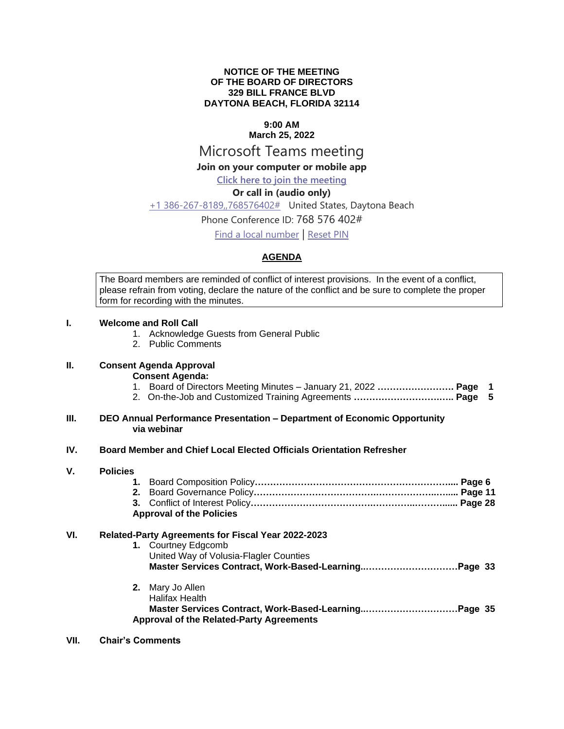#### **NOTICE OF THE MEETING OF THE BOARD OF DIRECTORS 329 BILL FRANCE BLVD DAYTONA BEACH, FLORIDA 32114**

## **9:00 AM**

# **March 25, 2022**

## Microsoft Teams meeting

## **Join on your computer or mobile app**

## **[Click here to join the meeting](https://teams.microsoft.com/l/meetup-join/19%3ameeting_NmM5NDQ0N2QtZDQ0ZC00YzRhLWJjMjQtODg3YWYwOGI1NGI1%40thread.v2/0?context=%7b%22Tid%22%3a%22703cdf20-1c9c-4e1a-b125-6692f22d8b2b%22%2c%22Oid%22%3a%22c342d8c4-f205-4d1a-bc1a-5b49e430dd76%22%7d)**

## **Or call in (audio only)**

### [+1 386-267-8189,,768576402#](tel:+13862678189,,768576402# ) United States, Daytona Beach

## Phone Conference ID: 768 576 402#

[Find a local number](https://dialin.teams.microsoft.com/9c696f14-a4b8-4aed-abeb-69578c5b61fe?id=768576402) | [Reset PIN](https://mysettings.lync.com/pstnconferencing)

## **AGENDA**

The Board members are reminded of conflict of interest provisions. In the event of a conflict, please refrain from voting, declare the nature of the conflict and be sure to complete the proper form for recording with the minutes.

#### **I. Welcome and Roll Call**

- 1. Acknowledge Guests from General Public
- 2. Public Comments

## **II. Consent Agenda Approval**

**Consent Agenda:**

- 1. Board of Directors Meeting Minutes January 21, 2022 **……………………. Page 1**
- 2. On-the-Job and Customized Training Agreements **……………………….….. Page 5**

#### **III. DEO Annual Performance Presentation – Department of Economic Opportunity via webinar**

#### **IV. Board Member and Chief Local Elected Officials Orientation Refresher**

#### **V. Policies**

| <b>Approval of the Policies</b> |  |  |  |  |  |
|---------------------------------|--|--|--|--|--|
|                                 |  |  |  |  |  |

## **VI. Related-Party Agreements for Fiscal Year 2022-2023**

|  | 1. Courtney Edgcomb<br>United Way of Volusia-Flagler Counties |  |
|--|---------------------------------------------------------------|--|
|  | <b>2.</b> Mary Jo Allen<br>Halifax Health                     |  |

## **Master Services Contract, Work-Based-Learning..…………………………Page 35 Approval of the Related-Party Agreements**

#### **VII. Chair's Comments**